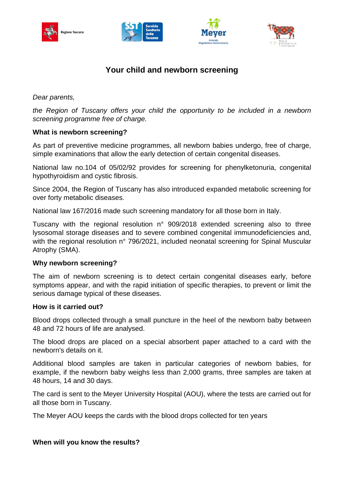







# **Your child and newborn screening**

*Dear parents,*

*the Region of Tuscany offers your child the opportunity to be included in a newborn screening programme free of charge.*

# **What is newborn screening?**

As part of preventive medicine programmes, all newborn babies undergo, free of charge, simple examinations that allow the early detection of certain congenital diseases.

National law no.104 of 05/02/92 provides for screening for phenylketonuria, congenital hypothyroidism and cystic fibrosis.

Since 2004, the Region of Tuscany has also introduced expanded metabolic screening for over forty metabolic diseases.

National law 167/2016 made such screening mandatory for all those born in Italy.

Tuscany with the regional resolution n° 909/2018 extended screening also to three lysosomal storage diseases and to severe combined congenital immunodeficiencies and, with the regional resolution n° 796/2021, included neonatal screening for Spinal Muscular Atrophy (SMA).

# **Why newborn screening?**

The aim of newborn screening is to detect certain congenital diseases early, before symptoms appear, and with the rapid initiation of specific therapies, to prevent or limit the serious damage typical of these diseases.

#### **How is it carried out?**

Blood drops collected through a small puncture in the heel of the newborn baby between 48 and 72 hours of life are analysed.

The blood drops are placed on a special absorbent paper attached to a card with the newborn's details on it.

Additional blood samples are taken in particular categories of newborn babies, for example, if the newborn baby weighs less than 2,000 grams, three samples are taken at 48 hours, 14 and 30 days.

The card is sent to the Meyer University Hospital (AOU), where the tests are carried out for all those born in Tuscany.

The Meyer AOU keeps the cards with the blood drops collected for ten years

# **When will you know the results?**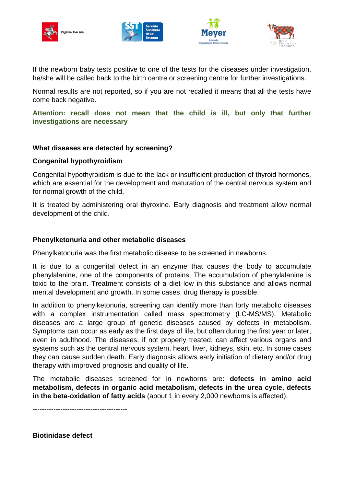







If the newborn baby tests positive to one of the tests for the diseases under investigation, he/she will be called back to the birth centre or screening centre for further investigations.

Normal results are not reported, so if you are not recalled it means that all the tests have come back negative.

**Attention: recall does not mean that the child is ill, but only that further investigations are necessary**

## **What diseases are detected by screening?**

## **Congenital hypothyroidism**

Congenital hypothyroidism is due to the lack or insufficient production of thyroid hormones, which are essential for the development and maturation of the central nervous system and for normal growth of the child.

It is treated by administering oral thyroxine. Early diagnosis and treatment allow normal development of the child.

## **Phenylketonuria and other metabolic diseases**

Phenylketonuria was the first metabolic disease to be screened in newborns.

It is due to a congenital defect in an enzyme that causes the body to accumulate phenylalanine, one of the components of proteins. The accumulation of phenylalanine is toxic to the brain. Treatment consists of a diet low in this substance and allows normal mental development and growth. In some cases, drug therapy is possible.

In addition to phenylketonuria, screening can identify more than forty metabolic diseases with a complex instrumentation called mass spectrometry (LC-MS/MS). Metabolic diseases are a large group of genetic diseases caused by defects in metabolism. Symptoms can occur as early as the first days of life, but often during the first year or later, even in adulthood. The diseases, if not properly treated, can affect various organs and systems such as the central nervous system, heart, liver, kidneys, skin, etc. In some cases they can cause sudden death. Early diagnosis allows early initiation of dietary and/or drug therapy with improved prognosis and quality of life.

The metabolic diseases screened for in newborns are: **defects in amino acid metabolism, defects in organic acid metabolism, defects in the urea cycle, defects in the beta-oxidation of fatty acids** (about 1 in every 2,000 newborns is affected).

-----------------------------------------

**Biotinidase defect**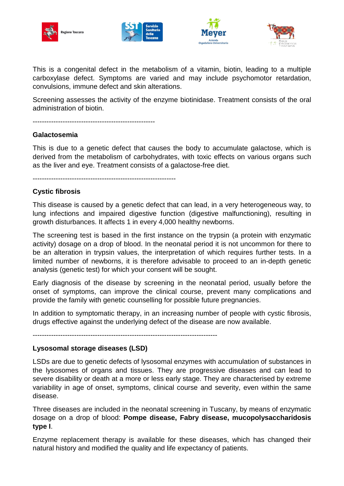







This is a congenital defect in the metabolism of a vitamin, biotin, leading to a multiple carboxylase defect. Symptoms are varied and may include psychomotor retardation, convulsions, immune defect and skin alterations.

Screening assesses the activity of the enzyme biotinidase. Treatment consists of the oral administration of biotin.

-----------------------------------------------------

## **Galactosemia**

This is due to a genetic defect that causes the body to accumulate galactose, which is derived from the metabolism of carbohydrates, with toxic effects on various organs such as the liver and eye. Treatment consists of a galactose-free diet.

--------------------------------------------------------------

# **Cystic fibrosis**

This disease is caused by a genetic defect that can lead, in a very heterogeneous way, to lung infections and impaired digestive function (digestive malfunctioning), resulting in growth disturbances. It affects 1 in every 4,000 healthy newborns.

The screening test is based in the first instance on the trypsin (a protein with enzymatic activity) dosage on a drop of blood. In the neonatal period it is not uncommon for there to be an alteration in trypsin values, the interpretation of which requires further tests. In a limited number of newborns, it is therefore advisable to proceed to an in-depth genetic analysis (genetic test) for which your consent will be sought.

Early diagnosis of the disease by screening in the neonatal period, usually before the onset of symptoms, can improve the clinical course, prevent many complications and provide the family with genetic counselling for possible future pregnancies.

In addition to symptomatic therapy, in an increasing number of people with cystic fibrosis, drugs effective against the underlying defect of the disease are now available.

--------------------------------------------------------------------------------

#### **Lysosomal storage diseases (LSD)**

LSDs are due to genetic defects of lysosomal enzymes with accumulation of substances in the lysosomes of organs and tissues. They are progressive diseases and can lead to severe disability or death at a more or less early stage. They are characterised by extreme variability in age of onset, symptoms, clinical course and severity, even within the same disease.

Three diseases are included in the neonatal screening in Tuscany, by means of enzymatic dosage on a drop of blood: **Pompe disease, Fabry disease, mucopolysaccharidosis type I**.

Enzyme replacement therapy is available for these diseases, which has changed their natural history and modified the quality and life expectancy of patients.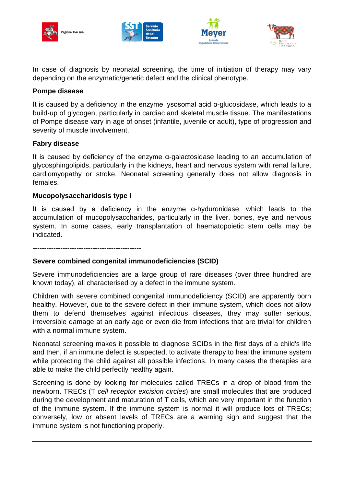







In case of diagnosis by neonatal screening, the time of initiation of therapy may vary depending on the enzymatic/genetic defect and the clinical phenotype.

#### **Pompe disease**

It is caused by a deficiency in the enzyme lysosomal acid  $\alpha$ -glucosidase, which leads to a build-up of glycogen, particularly in cardiac and skeletal muscle tissue. The manifestations of Pompe disease vary in age of onset (infantile, juvenile or adult), type of progression and severity of muscle involvement.

## **Fabry disease**

It is caused by deficiency of the enzyme  $\alpha$ -galactosidase leading to an accumulation of glycosphingolipids, particularly in the kidneys, heart and nervous system with renal failure, cardiomyopathy or stroke. Neonatal screening generally does not allow diagnosis in females.

#### **Mucopolysaccharidosis type I**

It is caused by a deficiency in the enzyme  $\alpha$ -hyduronidase, which leads to the accumulation of mucopolysaccharides, particularly in the liver, bones, eye and nervous system. In some cases, early transplantation of haematopoietic stem cells may be indicated.

**-----------------------------------------------**

# **Severe combined congenital immunodeficiencies (SCID)**

Severe immunodeficiencies are a large group of rare diseases (over three hundred are known today), all characterised by a defect in the immune system.

Children with severe combined congenital immunodeficiency (SCID) are apparently born healthy. However, due to the severe defect in their immune system, which does not allow them to defend themselves against infectious diseases, they may suffer serious, irreversible damage at an early age or even die from infections that are trivial for children with a normal immune system.

Neonatal screening makes it possible to diagnose SCIDs in the first days of a child's life and then, if an immune defect is suspected, to activate therapy to heal the immune system while protecting the child against all possible infections. In many cases the therapies are able to make the child perfectly healthy again.

Screening is done by looking for molecules called TRECs in a drop of blood from the newborn. TRECs (T *cell receptor excision circles*) are small molecules that are produced during the development and maturation of T cells, which are very important in the function of the immune system. If the immune system is normal it will produce lots of TRECs; conversely, low or absent levels of TRECs are a warning sign and suggest that the immune system is not functioning properly.